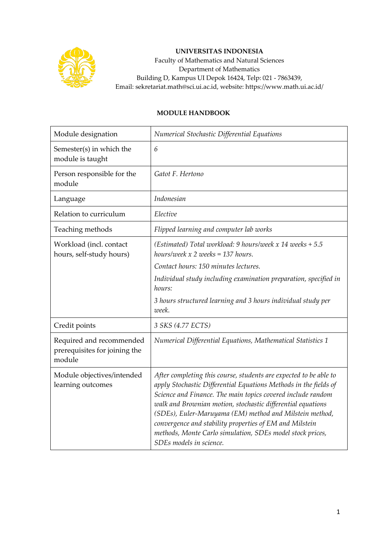

## **UNIVERSITAS INDONESIA**

Faculty of Mathematics and Natural Sciences Department of Mathematics Building D, Kampus UI Depok 16424, Telp: 021 - 7863439, Email: sekretariat.math@sci.ui.ac.id, website: https://www.math.ui.ac.id/

## **MODULE HANDBOOK**

| Module designation                                                  | Numerical Stochastic Differential Equations                                                                                                                                                                                                                                                                                                                                                                                                                                       |
|---------------------------------------------------------------------|-----------------------------------------------------------------------------------------------------------------------------------------------------------------------------------------------------------------------------------------------------------------------------------------------------------------------------------------------------------------------------------------------------------------------------------------------------------------------------------|
| Semester(s) in which the<br>module is taught                        | 6                                                                                                                                                                                                                                                                                                                                                                                                                                                                                 |
| Person responsible for the<br>module                                | Gatot F. Hertono                                                                                                                                                                                                                                                                                                                                                                                                                                                                  |
| Language                                                            | Indonesian                                                                                                                                                                                                                                                                                                                                                                                                                                                                        |
| Relation to curriculum                                              | Elective                                                                                                                                                                                                                                                                                                                                                                                                                                                                          |
| Teaching methods                                                    | Flipped learning and computer lab works                                                                                                                                                                                                                                                                                                                                                                                                                                           |
| Workload (incl. contact<br>hours, self-study hours)                 | (Estimated) Total workload: 9 hours/week x 14 weeks $+ 5.5$<br>hours/week $x$ 2 weeks = 137 hours.                                                                                                                                                                                                                                                                                                                                                                                |
|                                                                     | Contact hours: 150 minutes lectures.                                                                                                                                                                                                                                                                                                                                                                                                                                              |
|                                                                     | Individual study including examination preparation, specified in<br>hours:                                                                                                                                                                                                                                                                                                                                                                                                        |
|                                                                     | 3 hours structured learning and 3 hours individual study per<br>week.                                                                                                                                                                                                                                                                                                                                                                                                             |
| Credit points                                                       | 3 SKS (4.77 ECTS)                                                                                                                                                                                                                                                                                                                                                                                                                                                                 |
| Required and recommended<br>prerequisites for joining the<br>module | Numerical Differential Equations, Mathematical Statistics 1                                                                                                                                                                                                                                                                                                                                                                                                                       |
| Module objectives/intended<br>learning outcomes                     | After completing this course, students are expected to be able to<br>apply Stochastic Differential Equations Methods in the fields of<br>Science and Finance. The main topics covered include random<br>walk and Brownian motion, stochastic differential equations<br>(SDEs), Euler-Maruyama (EM) method and Milstein method,<br>convergence and stability properties of EM and Milstein<br>methods, Monte Carlo simulation, SDEs model stock prices,<br>SDEs models in science. |